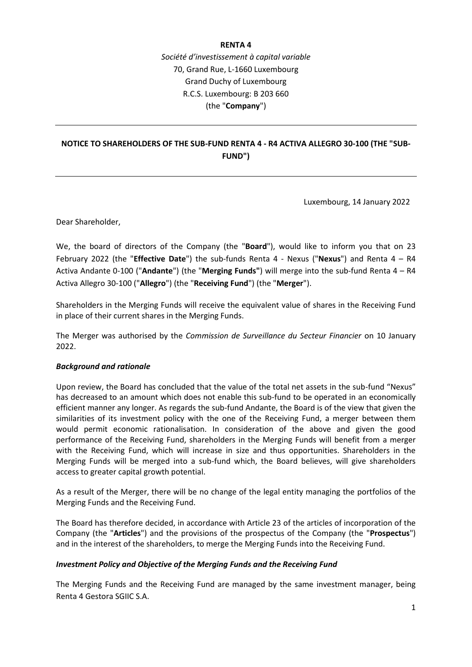#### **RENTA 4**

*Société d'investissement à capital variable* 70, Grand Rue, L-1660 Luxembourg Grand Duchy of Luxembourg R.C.S. Luxembourg: B 203 660 (the "**Company**")

# **NOTICE TO SHAREHOLDERS OF THE SUB-FUND RENTA 4 - R4 ACTIVA ALLEGRO 30-100 (THE "SUB-FUND")**

Luxembourg, 14 January 2022

Dear Shareholder,

We, the board of directors of the Company (the "**Board**"), would like to inform you that on 23 February 2022 (the "**Effective Date**") the sub-funds Renta 4 - Nexus ("**Nexus**") and Renta 4 – R4 Activa Andante 0-100 ("**Andante**") (the "**Merging Funds"**) will merge into the sub-fund Renta 4 – R4 Activa Allegro 30-100 ("**Allegro**") (the "**Receiving Fund**") (the "**Merger**").

Shareholders in the Merging Funds will receive the equivalent value of shares in the Receiving Fund in place of their current shares in the Merging Funds.

The Merger was authorised by the *Commission de Surveillance du Secteur Financier* on 10 January 2022.

#### *Background and rationale*

Upon review, the Board has concluded that the value of the total net assets in the sub-fund "Nexus" has decreased to an amount which does not enable this sub-fund to be operated in an economically efficient manner any longer. As regards the sub-fund Andante, the Board is of the view that given the similarities of its investment policy with the one of the Receiving Fund, a merger between them would permit economic rationalisation. In consideration of the above and given the good performance of the Receiving Fund, shareholders in the Merging Funds will benefit from a merger with the Receiving Fund, which will increase in size and thus opportunities. Shareholders in the Merging Funds will be merged into a sub-fund which, the Board believes, will give shareholders access to greater capital growth potential.

As a result of the Merger, there will be no change of the legal entity managing the portfolios of the Merging Funds and the Receiving Fund.

The Board has therefore decided, in accordance with Article 23 of the articles of incorporation of the Company (the "**Articles**") and the provisions of the prospectus of the Company (the "**Prospectus**") and in the interest of the shareholders, to merge the Merging Funds into the Receiving Fund.

#### *Investment Policy and Objective of the Merging Funds and the Receiving Fund*

The Merging Funds and the Receiving Fund are managed by the same investment manager, being Renta 4 Gestora SGIIC S.A.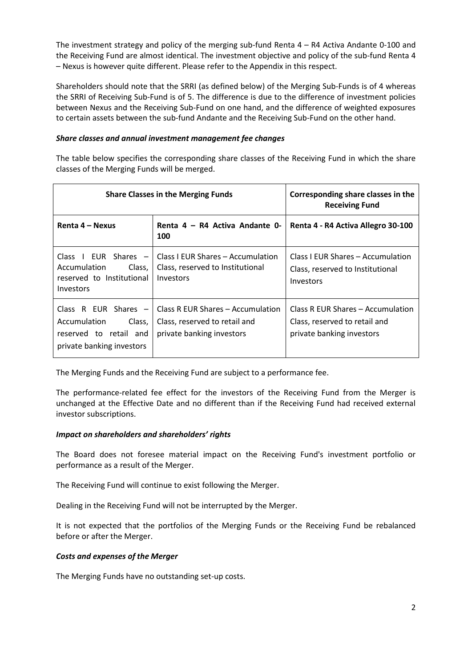The investment strategy and policy of the merging sub-fund Renta 4 – R4 Activa Andante 0-100 and the Receiving Fund are almost identical. The investment objective and policy of the sub-fund Renta 4 – Nexus is however quite different. Please refer to the Appendix in this respect.

Shareholders should note that the SRRI (as defined below) of the Merging Sub-Funds is of 4 whereas the SRRI of Receiving Sub-Fund is of 5. The difference is due to the difference of investment policies between Nexus and the Receiving Sub-Fund on one hand, and the difference of weighted exposures to certain assets between the sub-fund Andante and the Receiving Sub-Fund on the other hand.

#### *Share classes and annual investment management fee changes*

The table below specifies the corresponding share classes of the Receiving Fund in which the share classes of the Merging Funds will be merged.

| <b>Share Classes in the Merging Funds</b>                                                          |                                                                                                                           | Corresponding share classes in the<br><b>Receiving Fund</b>                                     |
|----------------------------------------------------------------------------------------------------|---------------------------------------------------------------------------------------------------------------------------|-------------------------------------------------------------------------------------------------|
| Renta 4 – Nexus                                                                                    | Renta 4 – R4 Activa Andante 0-<br>100                                                                                     | Renta 4 - R4 Activa Allegro 30-100                                                              |
| EUR Shares $-$<br>Class<br>Accumulation<br>Class,<br>reserved to Institutional<br><b>Investors</b> | Class I EUR Shares – Accumulation<br>Class, reserved to Institutional<br>Investors                                        | Class I EUR Shares – Accumulation<br>Class, reserved to Institutional<br>Investors              |
| Accumulation<br>Class,<br>reserved to retail and<br>private banking investors                      | Class R EUR Shares $-1$ Class R EUR Shares $-$ Accumulation<br>Class, reserved to retail and<br>private banking investors | Class R EUR Shares – Accumulation<br>Class, reserved to retail and<br>private banking investors |

The Merging Funds and the Receiving Fund are subject to a performance fee.

The performance-related fee effect for the investors of the Receiving Fund from the Merger is unchanged at the Effective Date and no different than if the Receiving Fund had received external investor subscriptions.

#### *Impact on shareholders and shareholders' rights*

The Board does not foresee material impact on the Receiving Fund's investment portfolio or performance as a result of the Merger.

The Receiving Fund will continue to exist following the Merger.

Dealing in the Receiving Fund will not be interrupted by the Merger.

It is not expected that the portfolios of the Merging Funds or the Receiving Fund be rebalanced before or after the Merger.

#### *Costs and expenses of the Merger*

The Merging Funds have no outstanding set-up costs.